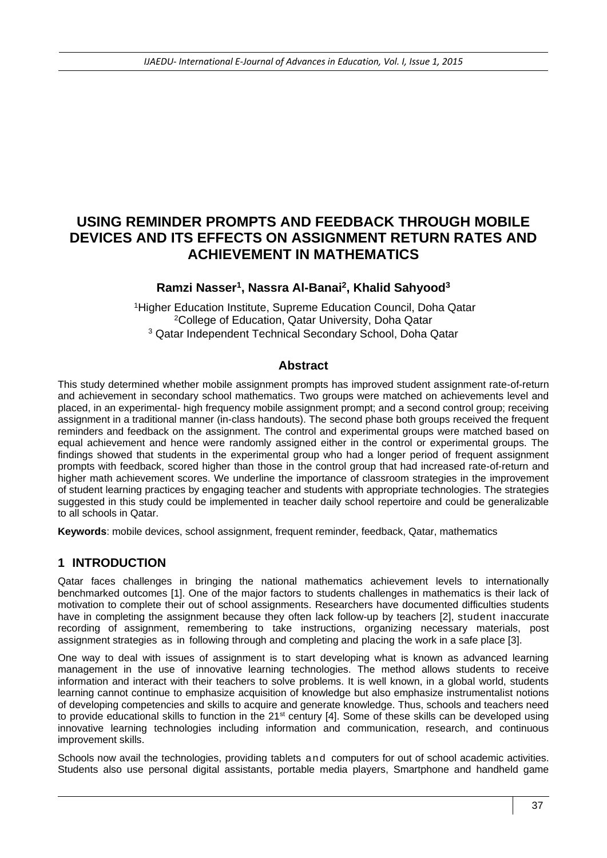# **USING REMINDER PROMPTS AND FEEDBACK THROUGH MOBILE DEVICES AND ITS EFFECTS ON ASSIGNMENT RETURN RATES AND ACHIEVEMENT IN MATHEMATICS**

#### **Ramzi Nasser<sup>1</sup> , Nassra Al-Banai<sup>2</sup> , Khalid Sahyood<sup>3</sup>**

<sup>1</sup>Higher Education Institute, Supreme Education Council, Doha Qatar <sup>2</sup>College of Education, Qatar University, Doha Qatar <sup>3</sup> Qatar Independent Technical Secondary School, Doha Qatar

#### **Abstract**

This study determined whether mobile assignment prompts has improved student assignment rate-of-return and achievement in secondary school mathematics. Two groups were matched on achievements level and placed, in an experimental- high frequency mobile assignment prompt; and a second control group; receiving assignment in a traditional manner (in-class handouts). The second phase both groups received the frequent reminders and feedback on the assignment. The control and experimental groups were matched based on equal achievement and hence were randomly assigned either in the control or experimental groups. The findings showed that students in the experimental group who had a longer period of frequent assignment prompts with feedback, scored higher than those in the control group that had increased rate-of-return and higher math achievement scores. We underline the importance of classroom strategies in the improvement of student learning practices by engaging teacher and students with appropriate technologies. The strategies suggested in this study could be implemented in teacher daily school repertoire and could be generalizable to all schools in Qatar.

**Keywords**: mobile devices, school assignment, frequent reminder, feedback, Qatar, mathematics

#### **1 INTRODUCTION**

Qatar faces challenges in bringing the national mathematics achievement levels to internationally benchmarked outcomes [1]. One of the major factors to students challenges in mathematics is their lack of motivation to complete their out of school assignments. Researchers have documented difficulties students have in completing the assignment because they often lack follow-up by teachers [2], student inaccurate recording of assignment, remembering to take instructions, organizing necessary materials, post assignment strategies as in following through and completing and placing the work in a safe place [3].

One way to deal with issues of assignment is to start developing what is known as advanced learning management in the use of innovative learning technologies. The method allows students to receive information and interact with their teachers to solve problems. It is well known, in a global world, students learning cannot continue to emphasize acquisition of knowledge but also emphasize instrumentalist notions of developing competencies and skills to acquire and generate knowledge. Thus, schools and teachers need to provide educational skills to function in the 21<sup>st</sup> century [4]. Some of these skills can be developed using innovative learning technologies including information and communication, research, and continuous improvement skills.

Schools now avail the technologies, providing tablets [and computers for out of school academic activities.](http://en.wikipedia.org/wiki/Tablet_computer)  [Students also use p](http://en.wikipedia.org/wiki/Tablet_computer)ersonal digital assistants, portable media players, Smartphone and handheld game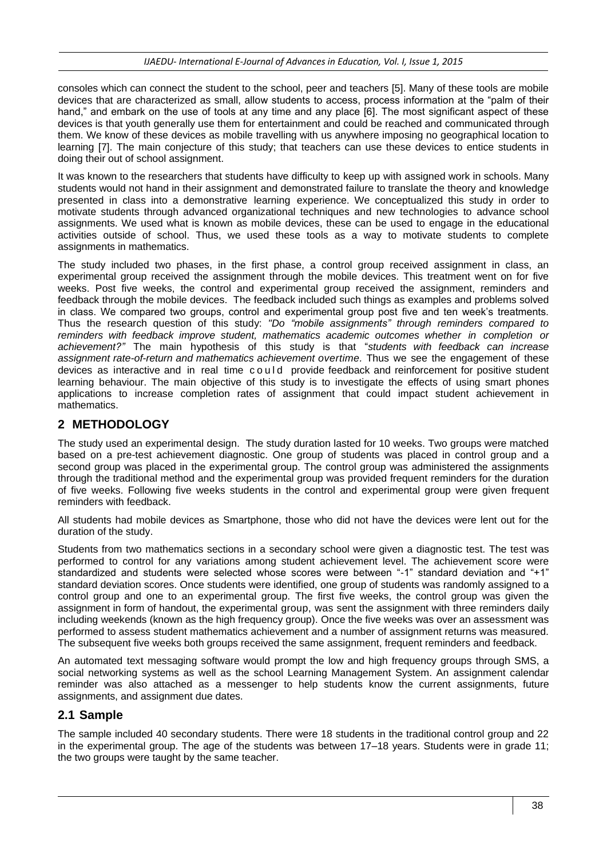consoles which can connect the student to the school, peer and teachers [5]. Many of these tools are mobile devices that are characterized as small, allow students to access, process information at the "palm of their hand," and embark on the use of tools at any time and any place [6]. The most significant aspect of these devices is that youth generally use them for entertainment and could be reached and communicated through them. We know of these devices as mobile travelling with us anywhere imposing no geographical location to learning [7]. The main conjecture of this study; that teachers can use these devices to entice students in doing their out of school assignment.

It was known to the researchers that students have difficulty to keep up with assigned work in schools. Many students would not hand in their assignment and demonstrated failure to translate the theory and knowledge presented in class into a demonstrative learning experience. We conceptualized this study in order to motivate students through advanced organizational techniques and new technologies to advance school assignments. We used what is known as mobile devices, these can be used to engage in the educational activities outside of school. Thus, we used these tools as a way to motivate students to complete assignments in mathematics.

The study included two phases, in the first phase, a control group received assignment in class, an experimental group received the assignment through the mobile devices. This treatment went on for five weeks. Post five weeks, the control and experimental group received the assignment, reminders and feedback through the mobile devices. The feedback included such things as examples and problems solved in class. We compared two groups, control and experimental group post five and ten week's treatments. Thus the research question of this study: *"Do "mobile assignments" through reminders compared to reminders with feedback improve student, mathematics academic outcomes whether in completion or achievement?"* The main hypothesis of this study is that "*students with feedback can increase*  assignment rate-of-return and mathematics achievement overtime. Thus we see the engagement of these devices as interactive and in real time c o u l d provide feedback and reinforcement for positive student learning behaviour. The main objective of this study is to investigate the effects of using smart phones applications to increase completion rates of assignment that could impact student achievement in mathematics.

# **2 METHODOLOGY**

The study used an experimental design. The study duration lasted for 10 weeks. Two groups were matched based on a pre-test achievement diagnostic. One group of students was placed in control group and a second group was placed in the experimental group. The control group was administered the assignments through the traditional method and the experimental group was provided frequent reminders for the duration of five weeks. Following five weeks students in the control and experimental group were given frequent reminders with feedback.

All students had mobile devices as Smartphone, those who did not have the devices were lent out for the duration of the study.

Students from two mathematics sections in a secondary school were given a diagnostic test. The test was performed to control for any variations among student achievement level. The achievement score were standardized and students were selected whose scores were between "-1" standard deviation and "+1" standard deviation scores. Once students were identified, one group of students was randomly assigned to a control group and one to an experimental group. The first five weeks, the control group was given the assignment in form of handout, the experimental group, was sent the assignment with three reminders daily including weekends (known as the high frequency group). Once the five weeks was over an assessment was performed to assess student mathematics achievement and a number of assignment returns was measured. The subsequent five weeks both groups received the same assignment, frequent reminders and feedback.

An automated text messaging software would prompt the low and high frequency groups through SMS, a social networking systems as well as the school Learning Management System. An assignment calendar reminder was also attached as a messenger to help students know the current assignments, future assignments, and assignment due dates.

## **2.1 Sample**

The sample included 40 secondary students. There were 18 students in the traditional control group and 22 in the experimental group. The age of the students was between 17–18 years. Students were in grade 11; the two groups were taught by the same teacher.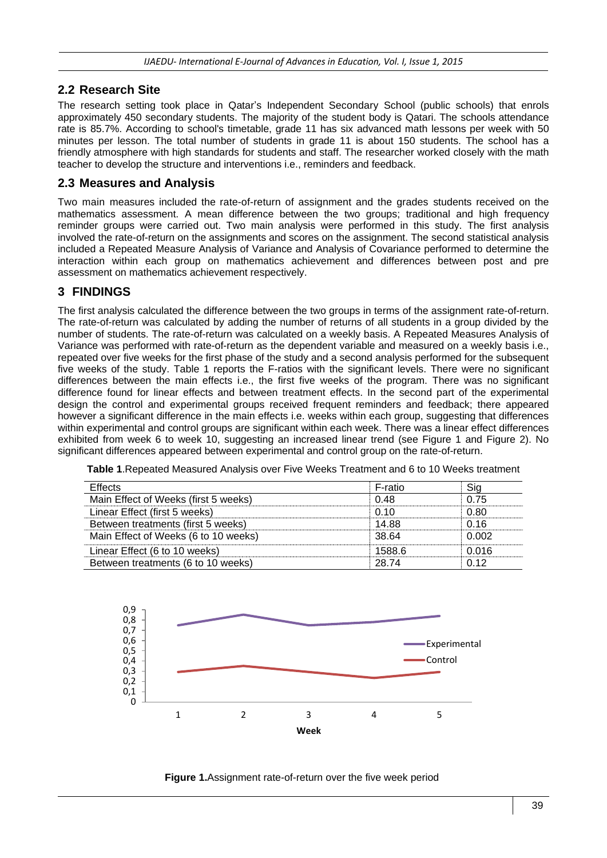#### **2.2 Research Site**

The research setting took place in Qatar's Independent Secondary School (public schools) that enrols approximately 450 secondary students. The majority of the student body is Qatari. The schools attendance rate is 85.7%. According to school's timetable, grade 11 has six advanced math lessons per week with 50 minutes per lesson. The total number of students in grade 11 is about 150 students. The school has a friendly atmosphere with high standards for students and staff. The researcher worked closely with the math teacher to develop the structure and interventions i.e., reminders and feedback.

#### **2.3 Measures and Analysis**

Two main measures included the rate-of-return of assignment and the grades students received on the mathematics assessment. A mean difference between the two groups; traditional and high frequency reminder groups were carried out. Two main analysis were performed in this study. The first analysis involved the rate-of-return on the assignments and scores on the assignment. The second statistical analysis included a Repeated Measure Analysis of Variance and Analysis of Covariance performed to determine the interaction within each group on mathematics achievement and differences between post and pre assessment on mathematics achievement respectively.

## **3 FINDINGS**

The first analysis calculated the difference between the two groups in terms of the assignment rate-of-return. The rate-of-return was calculated by adding the number of returns of all students in a group divided by the number of students. The rate-of-return was calculated on a weekly basis. A Repeated Measures Analysis of Variance was performed with rate-of-return as the dependent variable and measured on a weekly basis i.e., repeated over five weeks for the first phase of the study and a second analysis performed for the subsequent five weeks of the study. Table 1 reports the F-ratios with the significant levels. There were no significant differences between the main effects i.e., the first five weeks of the program. There was no significant difference found for linear effects and between treatment effects. In the second part of the experimental design the control and experimental groups received frequent reminders and feedback; there appeared however a significant difference in the main effects i.e. weeks within each group, suggesting that differences within experimental and control groups are significant within each week. There was a linear effect differences exhibited from week 6 to week 10, suggesting an increased linear trend (see Figure 1 and Figure 2). No significant differences appeared between experimental and control group on the rate-of-return.

|  |  | Table 1. Repeated Measured Analysis over Five Weeks Treatment and 6 to 10 Weeks treatment |  |  |  |  |  |  |
|--|--|-------------------------------------------------------------------------------------------|--|--|--|--|--|--|
|--|--|-------------------------------------------------------------------------------------------|--|--|--|--|--|--|

| <b>Effects</b>                       | F-ratio |       |
|--------------------------------------|---------|-------|
| Main Effect of Weeks (first 5 weeks) | በ 48    | በ 75  |
| Linear Effect (first 5 weeks)        | 0.10    | 0 80  |
| Between treatments (first 5 weeks)   | 14 88   | በ 16  |
| Main Effect of Weeks (6 to 10 weeks) | 38.64   | 0.002 |
| Linear Effect (6 to 10 weeks)        | 1588.6  | 0.016 |
| Between treatments (6 to 10 weeks)   | 28.74   | በ 12  |



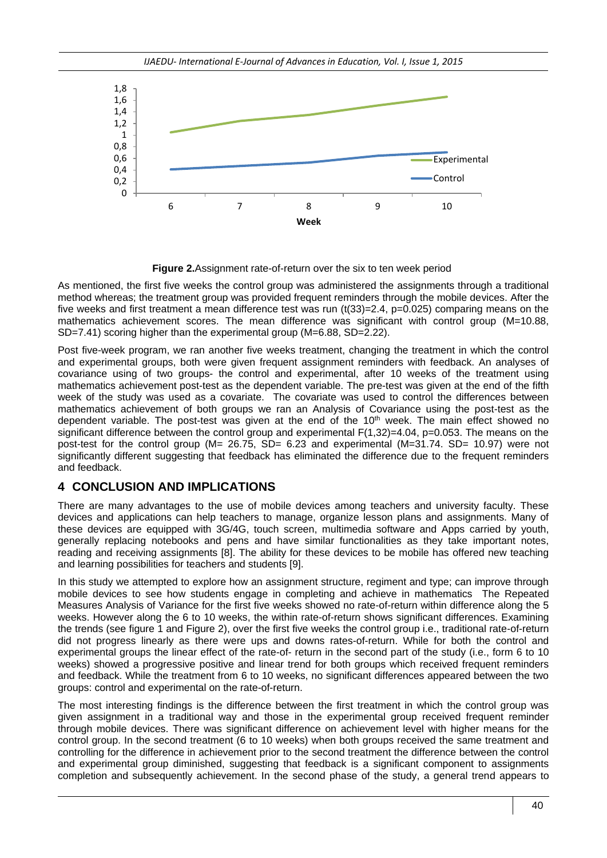

**Figure 2.**Assignment rate-of-return over the six to ten week period

As mentioned, the first five weeks the control group was administered the assignments through a traditional method whereas; the treatment group was provided frequent reminders through the mobile devices. After the five weeks and first treatment a mean difference test was run (t(33)=2.4, p=0.025) comparing means on the mathematics achievement scores. The mean difference was significant with control group (M=10.88, SD=7.41) scoring higher than the experimental group (M=6.88, SD=2.22).

Post five-week program, we ran another five weeks treatment, changing the treatment in which the control and experimental groups, both were given frequent assignment reminders with feedback. An analyses of covariance using of two groups- the control and experimental, after 10 weeks of the treatment using mathematics achievement post-test as the dependent variable. The pre-test was given at the end of the fifth week of the study was used as a covariate. The covariate was used to control the differences between mathematics achievement of both groups we ran an Analysis of Covariance using the post-test as the dependent variable. The post-test was given at the end of the  $10<sup>th</sup>$  week. The main effect showed no significant difference between the control group and experimental F(1,32)=4.04, p=0.053. The means on the post-test for the control group (M= 26.75, SD= 6.23 and experimental (M=31.74. SD= 10.97) were not significantly different suggesting that feedback has eliminated the difference due to the frequent reminders and feedback.

# **4 CONCLUSION AND IMPLICATIONS**

There are many advantages to the use of mobile devices among teachers and university faculty. These devices and applications can help teachers to manage, organize lesson plans and assignments. Many of these devices are equipped with 3G/4G, touch screen, multimedia software and Apps carried by youth, generally replacing notebooks and pens and have similar functionalities as they take important notes, reading and receiving assignments [8]. The ability for these devices to be mobile has offered new teaching and learning possibilities for teachers and students [9].

In this study we attempted to explore how an assignment structure, regiment and type; can improve through mobile devices to see how students engage in completing and achieve in mathematics The Repeated Measures Analysis of Variance for the first five weeks showed no rate-of-return within difference along the 5 weeks. However along the 6 to 10 weeks, the within rate-of-return shows significant differences. Examining the trends (see figure 1 and Figure 2), over the first five weeks the control group i.e., traditional rate-of-return did not progress linearly as there were ups and downs rates-of-return. While for both the control and experimental groups the linear effect of the rate-of- return in the second part of the study (i.e., form 6 to 10 weeks) showed a progressive positive and linear trend for both groups which received frequent reminders and feedback. While the treatment from 6 to 10 weeks, no significant differences appeared between the two groups: control and experimental on the rate-of-return.

The most interesting findings is the difference between the first treatment in which the control group was given assignment in a traditional way and those in the experimental group received frequent reminder through mobile devices. There was significant difference on achievement level with higher means for the control group. In the second treatment (6 to 10 weeks) when both groups received the same treatment and controlling for the difference in achievement prior to the second treatment the difference between the control and experimental group diminished, suggesting that feedback is a significant component to assignments completion and subsequently achievement. In the second phase of the study, a general trend appears to